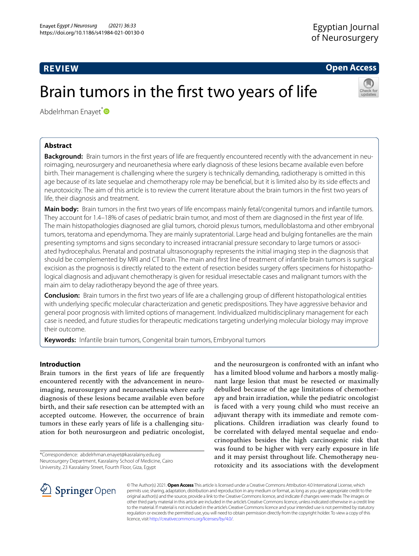# **REVIEW**

**Open Access**

# Brain tumors in the frst two years of life



Abdelrhman Enayet[\\*](http://orcid.org/0000-0003-2164-5548)<sup>®</sup>

# **Abstract**

**Background:** Brain tumors in the frst years of life are frequently encountered recently with the advancement in neuroimaging, neurosurgery and neuroanethesia where early diagnosis of these lesions became available even before birth. Their management is challenging where the surgery is technically demanding, radiotherapy is omitted in this age because of its late sequelae and chemotherapy role may be beneficial, but it is limited also by its side effects and neurotoxicity. The aim of this article is to review the current literature about the brain tumors in the frst two years of life, their diagnosis and treatment.

**Main body:** Brain tumors in the first two years of life encompass mainly fetal/congenital tumors and infantile tumors. They account for 1.4–18% of cases of pediatric brain tumor, and most of them are diagnosed in the frst year of life. The main histopathologies diagnosed are glial tumors, choroid plexus tumors, medulloblastoma and other embryonal tumors, teratoma and ependymoma. They are mainly supratentorial. Large head and bulging fontanelles are the main presenting symptoms and signs secondary to increased intracranial pressure secondary to large tumors or associated hydrocephalus. Prenatal and postnatal ultrasonography represents the initial imaging step in the diagnosis that should be complemented by MRI and CT brain. The main and frst line of treatment of infantile brain tumors is surgical excision as the prognosis is directly related to the extent of resection besides surgery offers specimens for histopathological diagnosis and adjuvant chemotherapy is given for residual irresectable cases and malignant tumors with the main aim to delay radiotherapy beyond the age of three years.

**Conclusion:** Brain tumors in the frst two years of life are a challenging group of diferent histopathological entities with underlying specifc molecular characterization and genetic predispositions. They have aggressive behavior and general poor prognosis with limited options of management. Individualized multidisciplinary management for each case is needed, and future studies for therapeutic medications targeting underlying molecular biology may improve their outcome.

**Keywords:** Infantile brain tumors, Congenital brain tumors, Embryonal tumors

# **Introduction**

Brain tumors in the frst years of life are frequently encountered recently with the advancement in neuroimaging, neurosurgery and neuroanethesia where early diagnosis of these lesions became available even before birth, and their safe resection can be attempted with an accepted outcome. However, the occurrence of brain tumors in these early years of life is a challenging situation for both neurosurgeon and pediatric oncologist,

\*Correspondence: abdelrhman.enayet@kasralainy.edu.eg Neurosurgery Department, Kasralainy School of Medicine, Cairo University, 23 Kasralainy Street, Fourth Floor, Giza, Egypt

and the neurosurgeon is confronted with an infant who has a limited blood volume and harbors a mostly malignant large lesion that must be resected or maximally debulked because of the age limitations of chemotherapy and brain irradiation, while the pediatric oncologist is faced with a very young child who must receive an adjuvant therapy with its immediate and remote complications. Children irradiation was clearly found to be correlated with delayed mental sequelae and endocrinopathies besides the high carcinogenic risk that was found to be higher with very early exposure in life and it may persist throughout life. Chemotherapy neurotoxicity and its associations with the development



© The Author(s) 2021. **Open Access** This article is licensed under a Creative Commons Attribution 4.0 International License, which permits use, sharing, adaptation, distribution and reproduction in any medium or format, as long as you give appropriate credit to the original author(s) and the source, provide a link to the Creative Commons licence, and indicate if changes were made. The images or other third party material in this article are included in the article's Creative Commons licence, unless indicated otherwise in a credit line to the material. If material is not included in the article's Creative Commons licence and your intended use is not permitted by statutory regulation or exceeds the permitted use, you will need to obtain permission directly from the copyright holder. To view a copy of this licence, visit [http://creativecommons.org/licenses/by/4.0/.](http://creativecommons.org/licenses/by/4.0/)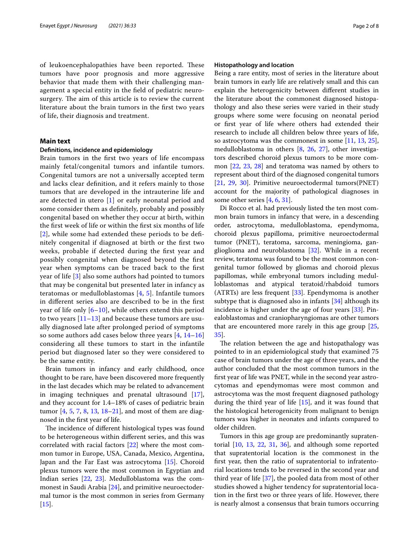of leukoencephalopathies have been reported. These tumors have poor prognosis and more aggressive behavior that made them with their challenging management a special entity in the feld of pediatric neurosurgery. The aim of this article is to review the current literature about the brain tumors in the frst two years of life, their diagnosis and treatment.

# **Main text**

### **Defnitions, incidence and epidemiology**

Brain tumors in the frst two years of life encompass mainly fetal/congenital tumors and infantile tumors. Congenital tumors are not a universally accepted term and lacks clear defnition, and it refers mainly to those tumors that are developed in the intrauterine life and are detected in utero [[1\]](#page-5-0) or early neonatal period and some consider them as defnitely, probably and possibly congenital based on whether they occur at birth, within the frst week of life or within the frst six months of life [[2](#page-6-0)], while some had extended these periods to be defnitely congenital if diagnosed at birth or the frst two weeks, probable if detected during the frst year and possibly congenital when diagnosed beyond the frst year when symptoms can be traced back to the frst year of life [[3\]](#page-6-1) also some authors had pointed to tumors that may be congenital but presented later in infancy as teratomas or medulloblastomas [\[4](#page-6-2), [5\]](#page-6-3). Infantile tumors in diferent series also are described to be in the frst year of life only  $[6–10]$  $[6–10]$  $[6–10]$ , while others extend this period to two years [\[11–](#page-6-6)[13\]](#page-6-7) and because these tumors are usually diagnosed late after prolonged period of symptoms so some authors add cases below three years [[4](#page-6-2), [14](#page-6-8)[–16](#page-6-9)] considering all these tumors to start in the infantile period but diagnosed later so they were considered to be the same entity.

Brain tumors in infancy and early childhood, once thought to be rare, have been discovered more frequently in the last decades which may be related to advancement in imaging techniques and prenatal ultrasound [\[17](#page-6-10)], and they account for 1.4–18% of cases of pediatric brain tumor [\[4](#page-6-2), [5](#page-6-3), [7](#page-6-11), [8,](#page-6-12) [13,](#page-6-7) [18–](#page-6-13)[21](#page-6-14)], and most of them are diagnosed in the frst year of life.

The incidence of different histological types was found to be heterogeneous within diferent series, and this was correlated with racial factors [[22\]](#page-6-15) where the most common tumor in Europe, USA, Canada, Mexico, Argentina, Japan and the Far East was astrocytoma [\[15\]](#page-6-16). Choroid plexus tumors were the most common in Egyptian and Indian series [[22,](#page-6-15) [23](#page-6-17)]. Medulloblastoma was the commonest in Saudi Arabia [\[24](#page-6-18)], and primitive neuroectodermal tumor is the most common in series from Germany  $[15]$  $[15]$ .

### **Histopathology and location**

Being a rare entity, most of series in the literature about brain tumors in early life are relatively small and this can explain the heterogenicity between diferent studies in the literature about the commonest diagnosed histopathology and also these series were varied in their study groups where some were focusing on neonatal period or frst year of life where others had extended their research to include all children below three years of life, so astrocytoma was the commonest in some [[11](#page-6-6), [13](#page-6-7), [25](#page-6-19)], medulloblastoma in others [\[8](#page-6-12), [26,](#page-6-20) [27](#page-6-21)], other investigators described choroid plexus tumors to be more common [\[22](#page-6-15), [23,](#page-6-17) [28](#page-6-22)] and teratoma was named by others to represent about third of the diagnosed congenital tumors [[21,](#page-6-14) [29](#page-6-23), [30\]](#page-6-24). Primitive neuroectodermal tumors(PNET) account for the majority of pathological diagnoses in some other series [[4](#page-6-2), [6,](#page-6-4) [31](#page-6-25)].

Di Rocco et al. had previously listed the ten most common brain tumors in infancy that were, in a descending order, astrocytoma, medulloblastoma, ependymoma, choroid plexus papilloma, primitive neuroectodermal tumor (PNET), teratoma, sarcoma, meningioma, ganglioglioma and neuroblastoma [\[32](#page-6-26)]. While in a recent review, teratoma was found to be the most common congenital tumor followed by gliomas and choroid plexus papillomas, while embryonal tumors including medulloblastomas and atypical teratoid/rhabdoid tumors (ATRTs) are less frequent [\[33](#page-6-27)]. Ependymoma is another subtype that is diagnosed also in infants [\[34](#page-6-28)] although its incidence is higher under the age of four years [\[33\]](#page-6-27). Pinealoblastomas and craniopharyngiomas are other tumors that are encountered more rarely in this age group [[25](#page-6-19), [35\]](#page-6-29).

The relation between the age and histopathalogy was pointed to in an epidemiological study that examined 75 case of brain tumors under the age of three years, and the author concluded that the most common tumors in the frst year of life was PNET, while in the second year astrocytomas and ependymomas were most common and astrocytoma was the most frequent diagnosed pathology during the third year of life [\[15](#page-6-16)], and it was found that the histological heterogenicity from malignant to benign tumors was higher in neonates and infants compared to older children.

Tumors in this age group are predominantly supratentorial [[10,](#page-6-5) [13,](#page-6-7) [22,](#page-6-15) [31](#page-6-25), [36](#page-6-30)], and although some reported that supratentorial location is the commonest in the frst year, then the ratio of supratentorial to infratentorial locations tends to be reversed in the second year and third year of life [\[37\]](#page-6-31), the pooled data from most of other studies showed a higher tendency for supratentorial location in the frst two or three years of life. However, there is nearly almost a consensus that brain tumors occurring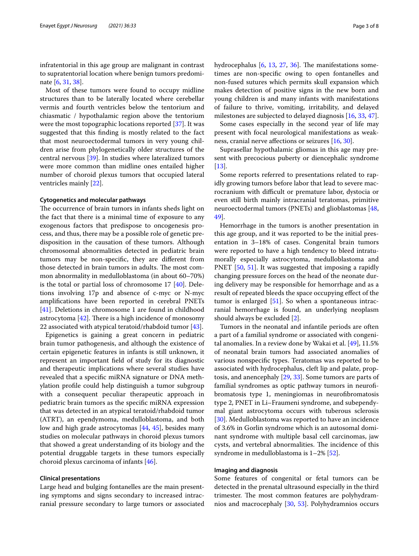infratentorial in this age group are malignant in contrast to supratentorial location where benign tumors predominate [[6,](#page-6-4) [31,](#page-6-25) [38](#page-6-32)].

Most of these tumors were found to occupy midline structures than to be laterally located where cerebellar vermis and fourth ventricles below the tentorium and chiasmatic / hypothalamic region above the tentorium were the most topographic locations reported [[37\]](#page-6-31). It was suggested that this fnding is mostly related to the fact that most neuroectodermal tumors in very young children arise from phylogenetically older structures of the central nervous [[39\]](#page-6-33). In studies where lateralized tumors were more common than midline ones entailed higher number of choroid plexus tumors that occupied lateral ventricles mainly [[22\]](#page-6-15).

#### **Cytogenetics and molecular pathways**

The occurrence of brain tumors in infants sheds light on the fact that there is a minimal time of exposure to any exogenous factors that predispose to oncogenesis process, and thus, there may be a possible role of genetic predisposition in the causation of these tumors. Although chromosomal abnormalities detected in pediatric brain tumors may be non-specifc, they are diferent from those detected in brain tumors in adults. The most common abnormality in medulloblastoma (in about 60–70%) is the total or partial loss of chromosome  $17 \, [40]$  $17 \, [40]$ . Deletions involving 17p and absence of c-myc or N-myc amplifcations have been reported in cerebral PNETs [[41\]](#page-6-35). Deletions in chromosome 1 are found in childhood astrocytoma  $[42]$  $[42]$ . There is a high incidence of monosomy 22 associated with atypical teratoid/rhabdoid tumor [[43\]](#page-6-37).

Epigenetics is gaining a great concern in pediatric brain tumor pathogenesis, and although the existence of certain epigenetic features in infants is still unknown, it represent an important feld of study for its diagnostic and therapeutic implications where several studies have revealed that a specifc miRNA signature or DNA methylation profle could help distinguish a tumor subgroup with a consequent peculiar therapeutic approach in pediatric brain tumors as the specifc miRNA expression that was detected in an atypical teratoid/rhabdoid tumor (ATRT), an ependymoma, medulloblastoma, and both low and high grade astrocytomas [\[44](#page-6-38), [45](#page-6-39)], besides many studies on molecular pathways in choroid plexus tumors that showed a great understanding of its biology and the potential druggable targets in these tumors especially choroid plexus carcinoma of infants [\[46](#page-6-40)].

# **Clinical presentations**

Large head and bulging fontanelles are the main presenting symptoms and signs secondary to increased intracranial pressure secondary to large tumors or associated hydrocephalus  $[6, 13, 27, 36]$  $[6, 13, 27, 36]$  $[6, 13, 27, 36]$  $[6, 13, 27, 36]$  $[6, 13, 27, 36]$  $[6, 13, 27, 36]$  $[6, 13, 27, 36]$  $[6, 13, 27, 36]$ . The manifestations sometimes are non-specifc owing to open fontanelles and non-fused sutures which permits skull expansion which makes detection of positive signs in the new born and young children is and many infants with manifestations of failure to thrive, vomiting, irritability, and delayed milestones are subjected to delayed diagnosis [[16](#page-6-9), [33,](#page-6-27) [47](#page-6-41)].

Some cases especially in the second year of life may present with focal neurological manifestations as weakness, cranial nerve afections or seizures [[16,](#page-6-9) [30\]](#page-6-24).

Suprasellar hypothalamic gliomas in this age may present with precocious puberty or diencephalic syndrome  $[13]$  $[13]$ .

Some reports referred to presentations related to rapidly growing tumors before labor that lead to severe macrocranium with difficult or premature labor, dystocia or even still birth mainly intracranial teratomas, primitive neuroectodermal tumors (PNETs) and glioblastomas [[48](#page-6-42), [49\]](#page-6-43).

Hemorrhage in the tumors is another presentation in this age group, and it was reported to be the initial presentation in 3–18% of cases. Congenital brain tumors were reported to have a high tendency to bleed intratumorally especially astrocytoma, medulloblastoma and PNET [\[50](#page-6-44), [51\]](#page-6-45). It was suggested that imposing a rapidly changing pressure forces on the head of the neonate during delivery may be responsible for hemorrhage and as a result of repeated bleeds the space occupying efect of the tumor is enlarged  $[51]$  $[51]$ . So when a spontaneous intracranial hemorrhage is found, an underlying neoplasm should always be excluded [\[2](#page-6-0)].

Tumors in the neonatal and infantile periods are often a part of a familial syndrome or associated with congenital anomalies. In a review done by Wakai et al. [\[49](#page-6-43)], 11.5% of neonatal brain tumors had associated anomalies of various nonspecifc types. Teratomas was reported to be associated with hydrocephalus, cleft lip and palate, proptosis, and anencephaly [[29](#page-6-23), [33\]](#page-6-27). Some tumors are parts of familial syndromes as optic pathway tumors in neurofbromatosis type 1, meningiomas in neurofbromatosis type 2, PNET in Li–Fraumeni syndrome, and subependymal giant astrocytoma occurs with tuberous sclerosis [[30\]](#page-6-24). Medulloblastoma was reported to have an incidence of 3.6% in Gorlin syndrome which is an autosomal dominant syndrome with multiple basal cell carcinomas, jaw cysts, and vertebral abnormalities. The incidence of this syndrome in medulloblastoma is 1–2% [\[52](#page-6-46)].

#### **Imaging and diagnosis**

Some features of congenital or fetal tumors can be detected in the prenatal ultrasound especially in the third trimester. The most common features are polyhydramnios and macrocephaly [[30,](#page-6-24) [53](#page-6-47)]. Polyhydramnios occurs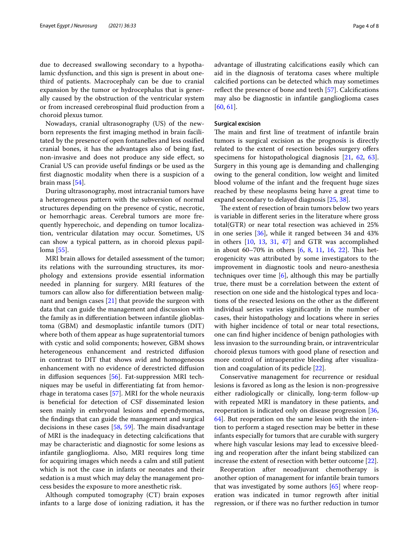due to decreased swallowing secondary to a hypothalamic dysfunction, and this sign is present in about onethird of patients. Macrocephaly can be due to cranial expansion by the tumor or hydrocephalus that is generally caused by the obstruction of the ventricular system or from increased cerebrospinal fuid production from a choroid plexus tumor.

Nowadays, cranial ultrasonography (US) of the newborn represents the frst imaging method in brain facilitated by the presence of open fontanelles and less ossifed cranial bones, it has the advantages also of being fast, non-invasive and does not produce any side efect, so Cranial US can provide useful fndings or be used as the frst diagnostic modality when there is a suspicion of a brain mass [\[54](#page-6-48)].

During ultrasonography, most intracranial tumors have a heterogeneous pattern with the subversion of normal structures depending on the presence of cystic, necrotic, or hemorrhagic areas. Cerebral tumors are more frequently hyperechoic, and depending on tumor localization, ventricular dilatation may occur. Sometimes, US can show a typical pattern, as in choroid plexus papilloma [[55](#page-7-0)].

MRI brain allows for detailed assessment of the tumor; its relations with the surrounding structures, its morphology and extensions provide essential information needed in planning for surgery. MRI features of the tumors can allow also for diferentiation between malignant and benign cases  $[21]$  $[21]$  that provide the surgeon with data that can guide the management and discussion with the family as in diferentiation between infantile glioblastoma (GBM) and desmoplastic infantile tumors (DIT) where both of them appear as huge supratentorial tumors with cystic and solid components; however, GBM shows heterogeneous enhancement and restricted difusion in contrast to DIT that shows avid and homogeneous enhancement with no evidence of derestricted difusion in difusion sequences [\[56](#page-7-1)]. Fat-suppression MRI techniques may be useful in diferentiating fat from hemorrhage in teratoma cases [\[57](#page-7-2)]. MRI for the whole neuraxis is benefcial for detection of CSF disseminated lesion seen mainly in embryonal lesions and ependymomas, the fndings that can guide the management and surgical decisions in these cases  $[58, 59]$  $[58, 59]$  $[58, 59]$  $[58, 59]$ . The main disadvantage of MRI is the inadequacy in detecting calcifcations that may be characteristic and diagnostic for some lesions as infantile ganglioglioma. Also, MRI requires long time for acquiring images which needs a calm and still patient which is not the case in infants or neonates and their sedation is a must which may delay the management process besides the exposure to more anesthetic risk.

Although computed tomography (CT) brain exposes infants to a large dose of ionizing radiation, it has the advantage of illustrating calcifcations easily which can aid in the diagnosis of teratoma cases where multiple calcifed portions can be detected which may sometimes reflect the presence of bone and teeth [\[57](#page-7-2)]. Calcifications may also be diagnostic in infantile ganglioglioma cases [[60,](#page-7-5) [61](#page-7-6)].

## **Surgical excision**

The main and first line of treatment of infantile brain tumors is surgical excision as the prognosis is directly related to the extent of resection besides surgery ofers specimens for histopathological diagnosis [[21,](#page-6-14) [62](#page-7-7), [63](#page-7-8)]. Surgery in this young age is demanding and challenging owing to the general condition, low weight and limited blood volume of the infant and the frequent huge sizes reached by these neoplasms being have a great time to expand secondary to delayed diagnosis [\[25](#page-6-19), [38\]](#page-6-32).

The extent of resection of brain tumors below two years is variable in diferent series in the literature where gross total(GTR) or near total resection was achieved in 25% in one series [\[36](#page-6-30)], while it ranged between 34 and 43% in others [[10,](#page-6-5) [13](#page-6-7), [31,](#page-6-25) [47\]](#page-6-41) and GTR was accomplished in about 60–70% in others [\[6](#page-6-4), [8](#page-6-12), [11,](#page-6-6) [16,](#page-6-9) [22](#page-6-15)]. This heterogenicity was attributed by some investigators to the improvement in diagnostic tools and neuro-anesthesia techniques over time  $[6]$  $[6]$ , although this may be partially true, there must be a correlation between the extent of resection on one side and the histological types and locations of the resected lesions on the other as the diferent individual series varies signifcantly in the number of cases, their histopathology and locations where in series with higher incidence of total or near total resections, one can fnd higher incidence of benign pathologies with less invasion to the surrounding brain, or intraventricular choroid plexus tumors with good plane of resection and more control of intraoperative bleeding after visualization and coagulation of its pedicle [\[22](#page-6-15)].

Conservative management for recurrence or residual lesions is favored as long as the lesion is non-progressive either radiologically or clinically, long-term follow-up with repeated MRI is mandatory in these patients, and reoperation is indicated only on disease progression [[36](#page-6-30), [64\]](#page-7-9). But reoperation on the same lesion with the intention to perform a staged resection may be better in these infants especially for tumors that are curable with surgery where high vascular lesions may lead to excessive bleeding and reoperation after the infant being stabilized can increase the extent of resection with better outcome [[22](#page-6-15)].

Reoperation after neoadjuvant chemotherapy is another option of management for infantile brain tumors that was investigated by some authors [\[65](#page-7-10)] where reoperation was indicated in tumor regrowth after initial regression, or if there was no further reduction in tumor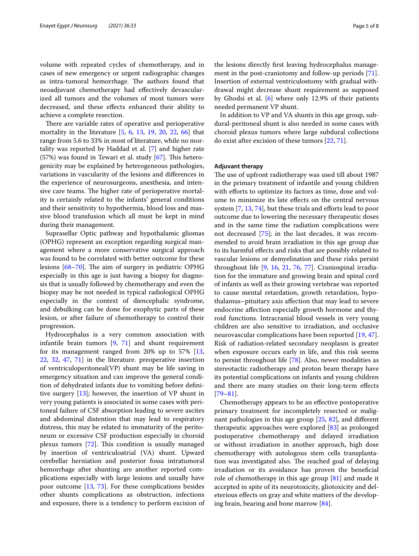volume with repeated cycles of chemotherapy, and in cases of new emergency or urgent radiographic changes as intra-tumoral hemorrhage. The authors found that neoadjuvant chemotherapy had efectively devascularized all tumors and the volumes of most tumors were decreased, and these efects enhanced their ability to achieve a complete resection.

There are variable rates of operative and perioperative mortality in the literature [[5,](#page-6-3) [6,](#page-6-4) [13,](#page-6-7) [19,](#page-6-49) [20,](#page-6-50) [22](#page-6-15), [66](#page-7-11)] that range from 5.6 to 33% in most of literature, while no mortality was reported by Haddad et al. [[7\]](#page-6-11) and higher rate  $(57%)$  was found in Tewari et al. study  $[67]$  $[67]$ . This heterogenicity may be explained by heterogeneous pathologies, variations in vascularity of the lesions and diferences in the experience of neurosurgeons, anesthesia, and intensive care teams. The higher rate of perioperative mortality is certainly related to the infants' general conditions and their sensitivity to hypothermia, blood loss and massive blood transfusion which all must be kept in mind during their management.

Suprasellar Optic pathway and hypothalamic gliomas (OPHG) represent an exception regarding surgical management where a more conservative surgical approach was found to be correlated with better outcome for these lesions  $[68-70]$  $[68-70]$  $[68-70]$ . The aim of surgery in pediatric OPHG especially in this age is just having a biopsy for diagnosis that is usually followed by chemotherapy and even the biopsy may be not needed in typical radiological OPHG especially in the context of diencephalic syndrome, and debulking can be done for exophytic parts of these lesion, or after failure of chemotherapy to control their progression.

Hydrocephalus is a very common association with infantile brain tumors [\[9](#page-6-51), [71\]](#page-7-15) and shunt requirement for its management ranged from 20% up to 57% [\[13](#page-6-7), [22,](#page-6-15) [32](#page-6-26), [47,](#page-6-41) [71](#page-7-15)] in the literature. preoperative insertion of ventriculoperitoneal(VP) shunt may be life saving in emergency situation and can improve the general condition of dehydrated infants due to vomiting before defnitive surgery [\[13](#page-6-7)]; however, the insertion of VP shunt in very young patients is associated in some cases with peritoneal failure of CSF absorption leading to severe ascites and abdominal distention that may lead to respiratory distress, this may be related to immaturity of the peritoneum or excessive CSF production especially in choroid plexus tumors [\[72](#page-7-16)]. This condition is usually managed by insertion of ventriculoatrial (VA) shunt. Upward cerebellar herniation and posterior fossa intratumoral hemorrhage after shunting are another reported complications especially with large lesions and usually have poor outcome [[13](#page-6-7), [73](#page-7-17)]. For these complications besides other shunts complications as obstruction, infections and exposure, there is a tendency to perform excision of the lesions directly frst leaving hydrocephalus management in the post-craniotomy and follow-up periods [\[71](#page-7-15)]. Insertion of external ventriculostomy with gradual withdrawal might decrease shunt requirement as supposed by Ghodsi et al. [\[6](#page-6-4)] where only 12.9% of their patients needed permanent VP shunt.

In addition to VP and VA shunts in this age group, subdural-peritoneal shunt is also needed in some cases with choroid plexus tumors where large subdural collections do exist after excision of these tumors [\[22](#page-6-15), [71\]](#page-7-15).

## **Adjuvant therapy**

The use of upfront radiotherapy was used till about 1987 in the primary treatment of infantile and young children with efforts to optimize its factors as time, dose and volume to minimize its late efects on the central nervous system [\[7](#page-6-11), [13,](#page-6-7) [74](#page-7-18)], but these trials and efforts lead to poor outcome due to lowering the necessary therapeutic doses and in the same time the radiation complications were not decreased [\[75](#page-7-19)]; in the last decades, it was recommended to avoid brain irradiation in this age group due to its harmful efects and risks that are possibly related to vascular lesions or demyelination and these risks persist throughout life [[9](#page-6-51), [16](#page-6-9), [21](#page-6-14), [76,](#page-7-20) [77\]](#page-7-21). Craniospinal irradiation for the immature and growing brain and spinal cord of infants as well as their growing vertebrae was reported to cause mental retardation, growth retardation, hypothalamus–pituitary axis afection that may lead to severe endocrine afection especially growth hormone and thyroid functions. Intracranial blood vessels in very young children are also sensitive to irradiation, and occlusive neurovascular complications have been reported [[19,](#page-6-49) [47](#page-6-41)]. Risk of radiation-related secondary neoplasm is greater when exposure occurs early in life, and this risk seems to persist throughout life [\[78](#page-7-22)]. Also, newer modalities as stereotactic radiotherapy and proton beam therapy have its potential complications on infants and young children and there are many studies on their long-term efects [[79–](#page-7-23)[81\]](#page-7-24).

Chemotherapy appears to be an efective postoperative primary treatment for incompletely resected or malignant pathologies in this age group [\[25](#page-6-19), [82](#page-7-25)], and diferent therapeutic approaches were explored [[83\]](#page-7-26) as prolonged postoperative chemotherapy and delayed irradiation or without irradiation in another approach, high dose chemotherapy with autologous stem cells transplantation was investigated also. The reached goal of delaying irradiation or its avoidance has proven the benefcial role of chemotherapy in this age group [[81\]](#page-7-24) and made it accepted in spite of its neurotoxicity, gliotoxicity and deleterious efects on gray and white matters of the developing brain, hearing and bone marrow [\[84\]](#page-7-27).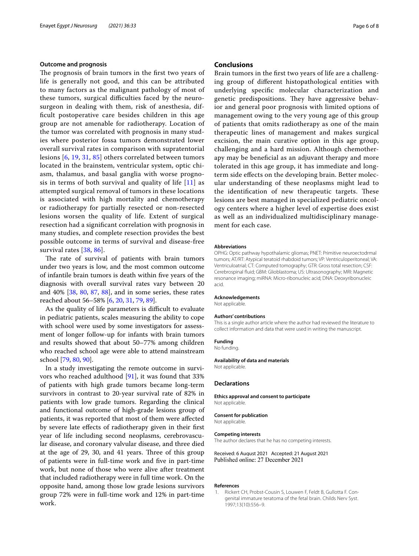#### **Outcome and prognosis**

The prognosis of brain tumors in the first two years of life is generally not good, and this can be attributed to many factors as the malignant pathology of most of these tumors, surgical difficulties faced by the neurosurgeon in dealing with them, risk of anesthesia, diffcult postoperative care besides children in this age group are not amenable for radiotherapy. Location of the tumor was correlated with prognosis in many studies where posterior fossa tumors demonstrated lower overall survival rates in comparison with supratentorial lesions [[6,](#page-6-4) [19,](#page-6-49) [31,](#page-6-25) [85\]](#page-7-28) others correlated between tumors located in the brainstem, ventricular system, optic chiasm, thalamus, and basal ganglia with worse prognosis in terms of both survival and quality of life  $[11]$  $[11]$  $[11]$  as attempted surgical removal of tumors in these locations is associated with high mortality and chemotherapy or radiotherapy for partially resected or non-resected lesions worsen the quality of life. Extent of surgical resection had a signifcant correlation with prognosis in many studies, and complete resection provides the best possible outcome in terms of survival and disease-free survival rates [\[38,](#page-6-32) [86\]](#page-7-29).

The rate of survival of patients with brain tumors under two years is low, and the most common outcome of infantile brain tumors is death within fve years of the diagnosis with overall survival rates vary between 20 and 40% [\[38](#page-6-32), [80](#page-7-30), [87,](#page-7-31) [88](#page-7-32)], and in some series, these rates reached about 56–58% [[6,](#page-6-4) [20](#page-6-50), [31,](#page-6-25) [79](#page-7-23), [89](#page-7-33)].

As the quality of life parameters is difficult to evaluate in pediatric patients, scales measuring the ability to cope with school were used by some investigators for assessment of longer follow-up for infants with brain tumors and results showed that about 50–77% among children who reached school age were able to attend mainstream school [[79,](#page-7-23) [80](#page-7-30), [90](#page-7-34)].

In a study investigating the remote outcome in survivors who reached adulthood [\[91](#page-7-35)], it was found that 33% of patients with high grade tumors became long-term survivors in contrast to 20-year survival rate of 82% in patients with low grade tumors. Regarding the clinical and functional outcome of high-grade lesions group of patients, it was reported that most of them were afected by severe late efects of radiotherapy given in their frst year of life including second neoplasms, cerebrovascular disease, and coronary valvular disease, and three died at the age of 29, 30, and 41 years. Three of this group of patients were in full-time work and fve in part-time work, but none of those who were alive after treatment that included radiotherapy were in full time work. On the opposite hand, among those low grade lesions survivors group 72% were in full-time work and 12% in part-time work.

## **Conclusions**

Brain tumors in the frst two years of life are a challenging group of diferent histopathological entities with underlying specifc molecular characterization and genetic predispositions. They have aggressive behavior and general poor prognosis with limited options of management owing to the very young age of this group of patients that omits radiotherapy as one of the main therapeutic lines of management and makes surgical excision, the main curative option in this age group, challenging and a hard mission. Although chemotherapy may be benefcial as an adjuvant therapy and more tolerated in this age group, it has immediate and longterm side efects on the developing brain. Better molecular understanding of these neoplasms might lead to the identification of new therapeutic targets. These lesions are best managed in specialized pediatric oncology centers where a higher level of expertise does exist as well as an individualized multidisciplinary management for each case.

#### **Abbreviations**

OPHG: Optic pathway hypothalamic gliomas; PNET: Primitive neuroectodrmal tumors; AT/RT: Atypical teratoid rhabdoid tumors; VP: Ventriculoperitoneal; VA: Ventriculoatrial; CT: Computed tomography; GTR: Gross total resection; CSF: Cerebrospinal fuid; GBM: Glioblastoma; US: Ultrasonography; MRI: Magnetic resonance imaging; miRNA: Micro-ribonucleic acid; DNA: Deoxyribonucleic acid.

#### **Acknowledgements**

Not applicable.

#### **Authors' contributions**

This is a single author article where the author had reviewed the literature to collect information and data that were used in writing the manuscript.

#### **Funding**

No funding.

**Availability of data and materials** Not applicable.

#### **Declarations**

**Ethics approval and consent to participate** Not applicable.

#### **Consent for publication**

Not applicable.

#### **Competing interests**

The author declares that he has no competing interests.

Received: 6 August 2021 Accepted: 21 August 2021 Published online: 27 December 2021

#### **References**

<span id="page-5-0"></span>1. Rickert CH, Probst-Cousin S, Louwen F, Feldt B, Gullotta F. Congenital immature teratoma of the fetal brain. Childs Nerv Syst. 1997;13(10):556–9.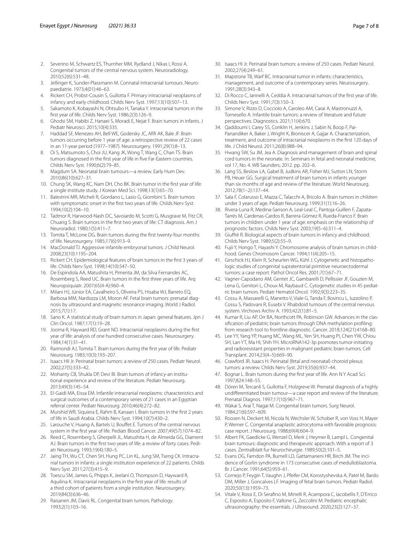- <span id="page-6-0"></span>2. Severino M, Schwartz ES, Thurnher MM, Rydland J, Nikas I, Rossi A. Congenital tumors of the central nervous system. Neuroradiology. 2010;52(6):531–48.
- <span id="page-6-1"></span>3. Jellinger K, Sunder-Plassmann M. Connatal intracranial tumours. Neuropaediatrie. 1973;4(01):46–63.
- <span id="page-6-2"></span>4. Rickert CH, Probst-Cousin S, Gullotta F. Primary intracranial neoplasms of infancy and early childhood. Childs Nerv Syst. 1997;13(10):507–13.
- <span id="page-6-3"></span>5. Sakamoto K, Kobayashi N, Ohtsubo H, Tanaka Y. Intracranial tumors in the frst year of life. Childs Nerv Syst. 1986;2(3):126–9.
- <span id="page-6-4"></span>6. Ghodsi SM, Habibi Z, Hanaei S, Moradi E, Nejat F. Brain tumors in infants. J Pediatr Neurosci. 2015;10(4):335.
- <span id="page-6-11"></span>7. Haddad SF, Menezes AH, Bell WE, Godersky JC, Afifi AK, Bale JF. Brain tumors occurring before 1 year of age: a retrospective review of 22 cases in an 11-year period (1977–1987). Neurosurgery. 1991;29(1):8–13.
- <span id="page-6-12"></span>8. Oi S, Matsumoto S, Choi JU, Kang JK, Wong T, Wang C, Chan TS. Brain tumors diagnosed in the frst year of life in fve Far-Eastern countries. Childs Nerv Syst. 1990;6(2):79–85.
- <span id="page-6-51"></span>9. Magdum SA. Neonatal brain tumours—a review. Early Hum Dev. 2010;86(10):627–31.
- <span id="page-6-5"></span>10. Chung SK, Wang KC, Nam DH, Cho BK. Brain tumor in the frst year of life: a single institute study. J Korean Med Sci. 1998;13(1):65–70.
- <span id="page-6-6"></span>11. Balestrini MR, Micheli R, Giordano L, Lasio G, Giombini S. Brain tumors with symptomatic onset in the frst two years of life. Childs Nerv Syst. 1994;10(2):104–10.
- 12. Tadmor R, Harwood-Nash DC, Savoiardo M, Scotti G, Musgrave M, Fitz CR, Chuang S. Brain tumors in the frst two years of life: CT diagnosis. Am J Neuroradiol. 1980;1(5):411–7.
- <span id="page-6-7"></span>13. Tomita T, McLone DG. Brain tumors during the frst twenty-four months of life. Neurosurgery. 1985;17(6):913–9.
- <span id="page-6-8"></span>14. MacDonald TJ. Aggressive infantile embryonal tumors. J Child Neurol. 2008;23(10):1195–204.
- <span id="page-6-16"></span>15. Rickert CH. Epidemiological features of brain tumors in the frst 3 years of life. Childs Nerv Syst. 1998;14(10):547–50.
- <span id="page-6-9"></span>16. De Espindola AA, Matushita H, Pimenta JM, da Silva Fernandes AC, Rosemberg S, Reed UC. Brain tumors in the frst three years of life. Arq Neuropsiquiatr. 2007;65(4-A):960–4.
- <span id="page-6-10"></span>17. Milani HJ, Júnior EA, Cavalheiro S, Oliveira PS, Hisaba WJ, Barreto EQ, Barbosa MM, Nardozza LM, Moron AF. Fetal brain tumors: prenatal diagnosis by ultrasound and magnetic resonance imaging. World J Radiol. 2015;7(1):17.
- <span id="page-6-13"></span>18. Sano K. A statistical study of brain tumors in Japan: general features. Jpn J Clin Oncol. 1987;17(1):19–28.
- <span id="page-6-49"></span>19. Jooma R, Hayward RD, Grant ND. Intracranial neoplasms during the frst year of life: analysis of one hundred consecutive cases. Neurosurgery. 1984;14(1):31–41.
- <span id="page-6-50"></span>20. Raimondi AJ, Tomita T. Brain tumors during the frst year of life. Pediatr Neurosurg. 1983;10(3):193–207.
- <span id="page-6-14"></span>21. Isaacs HII Jr. Perinatal brain tumors: a review of 250 cases. Pediatr Neurol. 2002;27(5):333–42.
- <span id="page-6-15"></span>22. Mohanty CB, Shukla DP, Devi BI. Brain tumors of infancy-an institutional experience and review of the literature. Pediatr Neurosurg. 2013;49(3):145–54.
- <span id="page-6-17"></span>23. El-Gaidi MA, Eissa EM. Infantile intracranial neoplasms: characteristics and surgical outcomes of a contemporary series of 21 cases in an Egyptian referral center. Pediatr Neurosurg. 2010;46(4):272–82.
- <span id="page-6-18"></span>24. Murshid WR, Siquiera E, Rahm B, Kanaan I. Brain tumors in the frst 2 years of life in Saudi Arabia. Childs Nerv Syst. 1994;10(7):430–2.
- <span id="page-6-19"></span>25. Larouche V, Huang A, Bartels U, Bouffet E. Tumors of the central nervous system in the frst year of life. Pediatr Blood Cancer. 2007;49(S7):1074–82.
- <span id="page-6-20"></span>26. Reed C, Rosemberg S, Gherpelli JL, Matushita H, de Almeida GG, Diament AJ. Brain tumors in the frst two years of life: a review of forty cases. Pediatr Neurosurg. 1993;19(4):180–5.
- <span id="page-6-21"></span>27. Jaing TH, Wu CT, Chen SH, Hung PC, Lin KL, Jung SM, Tseng CK. Intracranial tumors in infants: a single institution experience of 22 patients. Childs Nerv Syst. 2011;27(3):415–9.
- <span id="page-6-22"></span>28. Toescu SM, James G, Phipps K, Jeelani O, Thompson D, Hayward R, Aquilina K. Intracranial neoplasms in the frst year of life: results of a third cohort of patients from a single institution. Neurosurgery. 2019;84(3):636–46.
- <span id="page-6-23"></span>29. Raisanen JM, Davis RL. Congenital brain tumors. Pathology. 1993;2(1):103–16.
- <span id="page-6-24"></span>30. Isaacs HI Jr. Perinatal brain tumors: a review of 250 cases. Pediatr Neurol. 2002;27(4):249–61.
- <span id="page-6-25"></span>31. Mapstone TB, Warf BC. Intracranial tumor in infants: characteristics, management, and outcome of a contemporary series. Neurosurgery. 1991;28(3):343–8.
- <span id="page-6-26"></span>32. Di Rocco C, Iannelli A, Ceddia A. Intracranial tumors of the frst year of life. Childs Nerv Syst. 1991;7(3):150–3.
- <span id="page-6-27"></span>33. Simone V, Rizzo D, Cocciolo A, Caroleo AM, Carai A, Mastronuzzi A, Tornesello A. Infantile brain tumors: a review of literature and future perspectives. Diagnostics. 2021;11(4):670.
- <span id="page-6-28"></span>34. Qaddoumi I, Carey SS, Conklin H, Jenkins J, Sabin N, Boop F, Pai-Panandiker A, Baker J, Wright K, Broniscer A, Gajjar A. Characterization, treatment, and outcome of intracranial neoplasms in the frst 120 days of life. J Child Neurol. 2011;26(8):988–94.
- <span id="page-6-29"></span>35. Hwang SW, Su JM, Jea A. Diagnosis and management of brain and spinal cord tumors in the neonate. In: Seminars in fetal and neonatal medicine, vol 17, No. 4. WB Saunders; 2012. pp. 202–6.
- <span id="page-6-30"></span>36. Lang SS, Beslow LA, Gabel B, Judkins AR, Fisher MJ, Sutton LN, Storm PB, Heuer GG. Surgical treatment of brain tumors in infants younger than six months of age and review of the literature. World Neurosurg. 2012;78(1–2):137–44.
- <span id="page-6-31"></span>37. Sala F, Colarusso E, Mazza C, Talacchi A, Bricolo A. Brain tumors in children under 3 years of age. Pediatr Neurosurg. 1999;31(1):16–26.
- <span id="page-6-32"></span>38. Rivera-Luna R, Medina-Sanson A, Leal-Leal C, Pantoja-Guillen F, Zapata-Tarrés M, Cardenas-Cardos R, Barrera-Gómez R, Rueda-Franco F. Brain tumors in children under 1 year of age: emphasis on the relationship of prognostic factors. Childs Nerv Syst. 2003;19(5–6):311–4.
- <span id="page-6-33"></span>39. Giufrè R. Biological aspects of brain tumors in infancy and childhood. Childs Nerv Syst. 1989;5(2):55–9.
- <span id="page-6-34"></span>40. Fujii Y, Hongo T, Hayashi Y. Chromosome analysis of brain tumors in childhood. Genes Chromosom Cancer. 1994;11(4):205–15.
- <span id="page-6-35"></span>41. Girschick HJ, Klein R, Scheurlen WG, Kühl J. Cytogenetic and histopathologic studies of congenital supratentorial primitive neuroectodermal tumors: a case report. Pathol Oncol Res. 2001;7(1):67–71.
- <span id="page-6-36"></span>42. Vagner-Capodano AM, Gentet JC, Gambarelli D, Pellissier JF, Gouzien M, Lena G, Genitori L, Choux M, Raybaud C. Cytogenetic studies in 45 pediatric brain tumors. Pediatr Hematol Oncol. 1992;9(3):223–35.
- <span id="page-6-37"></span>43. Cossu A, Massarelli G, Manetto V, Viale G, Tanda F, Bosincu L, Iuzzolino P, Cossu S, Padovani R, Eusebi V. Rhabdoid tumours of the central nervous system. Virchows Archiv A. 1993;422(1):81–5.
- <span id="page-6-38"></span>44. Kumar R, Liu AP, Orr BA, Northcott PA, Robinson GW. Advances in the classifcation of pediatric brain tumors through DNA methylation profling: from research tool to frontline diagnostic. Cancer. 2018;124(21):4168–80.
- <span id="page-6-39"></span>45. Lee YY, Yang YP, Huang MC, Wang ML, Yen SH, Huang PI, Chen YW, Chiou SH, Lan YT, Ma HI, Shih YH. MicroRNA142-3p promotes tumor-initiating and radioresistant properties in malignant pediatric brain tumors. Cell Transplant. 2014;23(4–5):669–90.
- <span id="page-6-40"></span>46. Crawford JR, Isaacs H. Perinatal (fetal and neonatal) choroid plexus tumors: a review. Childs Nerv Syst. 2019;35(6):937–44.
- <span id="page-6-41"></span>47. Bognar L. Brain tumors during the frst year of life. Ann N Y Acad Sci. 1997;824:148–55.
- <span id="page-6-42"></span>48. Dören M, Tercanli S, Gullotta F, Holzgreve W. Prenatal diagnosis of a highly undiferentiated brain tumour—a case report and review of the literature. Prenatal Diagnos. 1997;17(10):967–71.
- <span id="page-6-43"></span>49. Wakai S, Arai T, Nagai M. Congenital brain tumors. Surg Neurol. 1984;21(6):597–609.
- <span id="page-6-44"></span>50. Roosen N, Deckert M, Nicola N, Wechsler W, Schober R, von Voss H, Mayer P, Werner C. Congenital anaplastic astrocytoma with favorable prognosis: case report. J Neurosurg. 1988;69(4):604–9.
- <span id="page-6-45"></span>51. Albert FK, Gaedicke G, Wenzel D, Merk J, Heymer B, Lampl L. Congenital brain tumours: diagnostic and therapeutic approach. With a report of 3 cases. Zentralblatt fur Neurochirurgie. 1989;50(2):101–5.
- <span id="page-6-46"></span>52. Evans DG, Farndon PA, Burnell LD, Gattamaneni HR, Birch JM. The incidence of Gorlin syndrome in 173 consecutive cases of medulloblastoma. Br J Cancer. 1991;64(5):959–61.
- <span id="page-6-47"></span>53. Cornejo P, Feygin T, Vaughn J, Pfeifer CM, Korostyshevska A, Patel M, Bardo DM, Miller J, Goncalves LF. Imaging of fetal brain tumors. Pediatr Radiol. 2020;50(13):1959–73.
- <span id="page-6-48"></span>54. Vitale V, Rossi E, Di Serafno M, Minelli R, Acampora C, Iacobellis F, D'Errico C, Esposito A, Esposito F, Vallone G, Zeccolini M. Pediatric encephalic ultrasonography: the essentials. J Ultrasound. 2020;23(2):127–37.